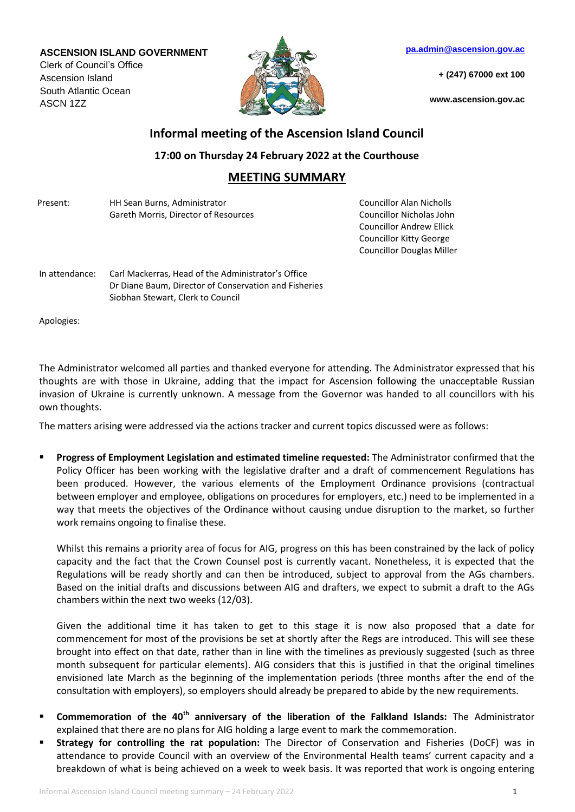**ASCENSION ISLAND GOVERNMENT**

Clerk of Council's Office Ascension Island South Atlantic Ocean ASCN 1ZZ



**+ (247) 67000 ext 100**

**www.ascension.gov.ac**

## **Informal meeting of the Ascension Island Council**

## **17:00 on Thursday 24 February 2022 at the Courthouse**

## **MEETING SUMMARY**

| Present: | HH Sean Burns, Administrator         |
|----------|--------------------------------------|
|          | Gareth Morris, Director of Resources |

Councillor Alan Nicholls Councillor Nicholas John Councillor Andrew Ellick Councillor Kitty George Councillor Douglas Miller

In attendance: Carl Mackerras, Head of the Administrator's Office Dr Diane Baum, Director of Conservation and Fisheries Siobhan Stewart, Clerk to Council

Apologies:

The Administrator welcomed all parties and thanked everyone for attending. The Administrator expressed that his thoughts are with those in Ukraine, adding that the impact for Ascension following the unacceptable Russian invasion of Ukraine is currently unknown. A message from the Governor was handed to all councillors with his own thoughts.

The matters arising were addressed via the actions tracker and current topics discussed were as follows:

 **Progress of Employment Legislation and estimated timeline requested:** The Administrator confirmed that the Policy Officer has been working with the legislative drafter and a draft of commencement Regulations has been produced. However, the various elements of the Employment Ordinance provisions (contractual between employer and employee, obligations on procedures for employers, etc.) need to be implemented in a way that meets the objectives of the Ordinance without causing undue disruption to the market, so further work remains ongoing to finalise these.

Whilst this remains a priority area of focus for AIG, progress on this has been constrained by the lack of policy capacity and the fact that the Crown Counsel post is currently vacant. Nonetheless, it is expected that the Regulations will be ready shortly and can then be introduced, subject to approval from the AGs chambers. Based on the initial drafts and discussions between AIG and drafters, we expect to submit a draft to the AGs chambers within the next two weeks (12/03).

Given the additional time it has taken to get to this stage it is now also proposed that a date for commencement for most of the provisions be set at shortly after the Regs are introduced. This will see these brought into effect on that date, rather than in line with the timelines as previously suggested (such as three month subsequent for particular elements). AIG considers that this is justified in that the original timelines envisioned late March as the beginning of the implementation periods (three months after the end of the consultation with employers), so employers should already be prepared to abide by the new requirements.

- **Commemoration of the 40th anniversary of the liberation of the Falkland Islands:** The Administrator explained that there are no plans for AIG holding a large event to mark the commemoration.
- **Strategy for controlling the rat population:** The Director of Conservation and Fisheries (DoCF) was in attendance to provide Council with an overview of the Environmental Health teams' current capacity and a breakdown of what is being achieved on a week to week basis. It was reported that work is ongoing entering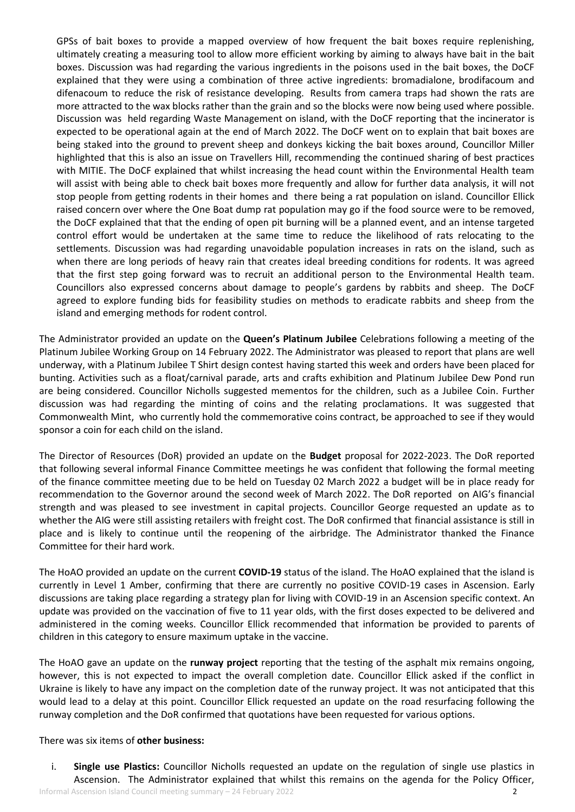GPSs of bait boxes to provide a mapped overview of how frequent the bait boxes require replenishing, ultimately creating a measuring tool to allow more efficient working by aiming to always have bait in the bait boxes. Discussion was had regarding the various ingredients in the poisons used in the bait boxes, the DoCF explained that they were using a combination of three active ingredients: bromadialone, brodifacoum and difenacoum to reduce the risk of resistance developing. Results from camera traps had shown the rats are more attracted to the wax blocks rather than the grain and so the blocks were now being used where possible. Discussion was held regarding Waste Management on island, with the DoCF reporting that the incinerator is expected to be operational again at the end of March 2022. The DoCF went on to explain that bait boxes are being staked into the ground to prevent sheep and donkeys kicking the bait boxes around, Councillor Miller highlighted that this is also an issue on Travellers Hill, recommending the continued sharing of best practices with MITIE. The DoCF explained that whilst increasing the head count within the Environmental Health team will assist with being able to check bait boxes more frequently and allow for further data analysis, it will not stop people from getting rodents in their homes and there being a rat population on island. Councillor Ellick raised concern over where the One Boat dump rat population may go if the food source were to be removed, the DoCF explained that that the ending of open pit burning will be a planned event, and an intense targeted control effort would be undertaken at the same time to reduce the likelihood of rats relocating to the settlements. Discussion was had regarding unavoidable population increases in rats on the island, such as when there are long periods of heavy rain that creates ideal breeding conditions for rodents. It was agreed that the first step going forward was to recruit an additional person to the Environmental Health team. Councillors also expressed concerns about damage to people's gardens by rabbits and sheep. The DoCF agreed to explore funding bids for feasibility studies on methods to eradicate rabbits and sheep from the island and emerging methods for rodent control.

The Administrator provided an update on the **Queen's Platinum Jubilee** Celebrations following a meeting of the Platinum Jubilee Working Group on 14 February 2022. The Administrator was pleased to report that plans are well underway, with a Platinum Jubilee T Shirt design contest having started this week and orders have been placed for bunting. Activities such as a float/carnival parade, arts and crafts exhibition and Platinum Jubilee Dew Pond run are being considered. Councillor Nicholls suggested mementos for the children, such as a Jubilee Coin. Further discussion was had regarding the minting of coins and the relating proclamations. It was suggested that Commonwealth Mint, who currently hold the commemorative coins contract, be approached to see if they would sponsor a coin for each child on the island.

The Director of Resources (DoR) provided an update on the **Budget** proposal for 2022-2023. The DoR reported that following several informal Finance Committee meetings he was confident that following the formal meeting of the finance committee meeting due to be held on Tuesday 02 March 2022 a budget will be in place ready for recommendation to the Governor around the second week of March 2022. The DoR reported on AIG's financial strength and was pleased to see investment in capital projects. Councillor George requested an update as to whether the AIG were still assisting retailers with freight cost. The DoR confirmed that financial assistance is still in place and is likely to continue until the reopening of the airbridge. The Administrator thanked the Finance Committee for their hard work.

The HoAO provided an update on the current **COVID-19** status of the island. The HoAO explained that the island is currently in Level 1 Amber, confirming that there are currently no positive COVID-19 cases in Ascension. Early discussions are taking place regarding a strategy plan for living with COVID-19 in an Ascension specific context. An update was provided on the vaccination of five to 11 year olds, with the first doses expected to be delivered and administered in the coming weeks. Councillor Ellick recommended that information be provided to parents of children in this category to ensure maximum uptake in the vaccine.

The HoAO gave an update on the **runway project** reporting that the testing of the asphalt mix remains ongoing, however, this is not expected to impact the overall completion date. Councillor Ellick asked if the conflict in Ukraine is likely to have any impact on the completion date of the runway project. It was not anticipated that this would lead to a delay at this point. Councillor Ellick requested an update on the road resurfacing following the runway completion and the DoR confirmed that quotations have been requested for various options.

There was six items of **other business:**

i. **Single use Plastics:** Councillor Nicholls requested an update on the regulation of single use plastics in Ascension. The Administrator explained that whilst this remains on the agenda for the Policy Officer,